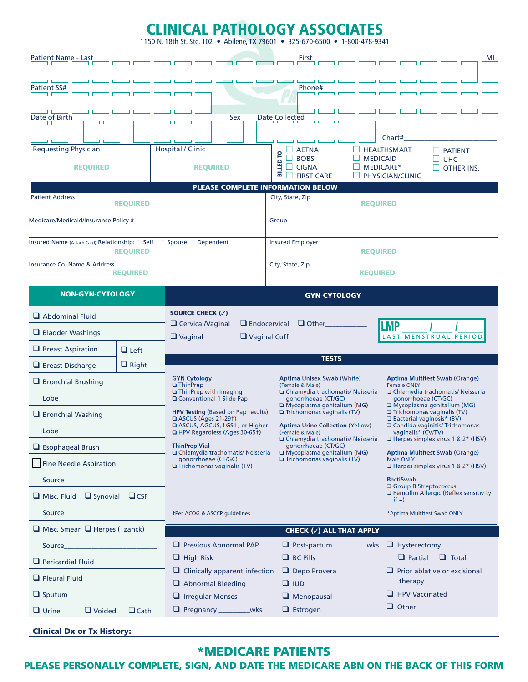# CLINICAL PATHOLOGY ASSOCIATES

1150 N. 18th St. Ste. 102 • Abilene, TX 79601 • 325-670-6500 • 1-800-478-9341

| <b>Patient Name - Last</b><br>1 <del>.</del> . r                                                                                                                                        |                                    |                                                                                                                                                                                                                                                                                                                                                                                                                                                                                                                                   | First                                                                                                                                                                                  | MI                                                                                                                                                                                                                                                                                                                                         |  |
|-----------------------------------------------------------------------------------------------------------------------------------------------------------------------------------------|------------------------------------|-----------------------------------------------------------------------------------------------------------------------------------------------------------------------------------------------------------------------------------------------------------------------------------------------------------------------------------------------------------------------------------------------------------------------------------------------------------------------------------------------------------------------------------|----------------------------------------------------------------------------------------------------------------------------------------------------------------------------------------|--------------------------------------------------------------------------------------------------------------------------------------------------------------------------------------------------------------------------------------------------------------------------------------------------------------------------------------------|--|
| <b>Patient SS#</b><br>ח ר<br>Date of Birth<br>חו<br><b>Requesting Physician</b><br><b>REQUIRED</b><br><b>Patient Address</b><br><b>REQUIRED</b><br>Medicare/Medicaid/Insurance Policy # |                                    | Sex<br>-11<br><b>Hospital / Clinic</b><br><b>REQUIRED</b><br>PLEASE COMPLETE INFORMATION BELOW                                                                                                                                                                                                                                                                                                                                                                                                                                    | Phone#<br><b>Date Collected</b><br>$\Box$ AETNA<br>P<br>BC/BS<br><b>MEDICAID</b><br><b>BILLED</b><br><b>CIGNA</b><br><b>FIRST CARE</b><br>City, State, Zip<br><b>REQUIRED</b><br>Group | Chart#<br><b>HEALTHSMART</b><br><b>PATIENT</b><br><b>UHC</b><br>MEDICARE*<br>П<br><b>OTHER INS.</b><br>PHYSICIAN/CLINIC                                                                                                                                                                                                                    |  |
| Insured Name (Attach Card) Relationship: □ Self □ Spouse □ Dependent                                                                                                                    |                                    |                                                                                                                                                                                                                                                                                                                                                                                                                                                                                                                                   | <b>Insured Employer</b>                                                                                                                                                                |                                                                                                                                                                                                                                                                                                                                            |  |
| <b>Insurance Co. Name &amp; Address</b>                                                                                                                                                 | <b>REQUIRED</b><br><b>REQUIRED</b> |                                                                                                                                                                                                                                                                                                                                                                                                                                                                                                                                   | <b>REQUIRED</b><br>City, State, Zip<br><b>REQUIRED</b>                                                                                                                                 |                                                                                                                                                                                                                                                                                                                                            |  |
| <b>NON-GYN-CYTOLOGY</b>                                                                                                                                                                 |                                    | <b>GYN-CYTOLOGY</b>                                                                                                                                                                                                                                                                                                                                                                                                                                                                                                               |                                                                                                                                                                                        |                                                                                                                                                                                                                                                                                                                                            |  |
| $\Box$ Abdominal Fluid<br>$\Box$ Bladder Washings                                                                                                                                       |                                    | SOURCE CHECK (V)<br>$\Box$ Cervical/Vaginal<br>$\Box$ Endocervical<br>$\Box$ Other<br><b>LMP</b><br>$\Box$ Vaginal<br>$\Box$ Vaginal Cuff<br><b>LAST MENSTRUAL PERIOD</b>                                                                                                                                                                                                                                                                                                                                                         |                                                                                                                                                                                        |                                                                                                                                                                                                                                                                                                                                            |  |
| $\Box$ Breast Aspiration                                                                                                                                                                | $\Box$ Left                        | <b>TESTS</b>                                                                                                                                                                                                                                                                                                                                                                                                                                                                                                                      |                                                                                                                                                                                        |                                                                                                                                                                                                                                                                                                                                            |  |
| $\Box$ Right<br>$\Box$ Breast Discharge<br>Bronchial Brushing<br>Lobe<br>$\Box$ Bronchial Washing<br>Lobe                                                                               |                                    | <b>Aptima Unisex Swab (White)</b><br><b>GYN Cytology</b><br>$\Box$ ThinPrep<br>(Female & Male)<br>$\Box$ ThinPrep with Imaging<br>□ Chlamydia trachomatis/ Neisseria<br>□ Conventional 1 Slide Pap<br>gonorrhoeae (CT/GC)<br>Mycoplasma genitalium (MG)<br>Trichomonas vaginalis (TV)<br><b>HPV Testing (Based on Pap results)</b><br>□ ASCUS (Ages 21-29†)<br>ASCUS, AGCUS, LGSIL, or Higher<br><b>Aptima Urine Collection (Yellow)</b><br>HPV Regardless (Ages 30-651)<br>(Female & Male)<br>□ Chlamydia trachomatis/ Neisseria |                                                                                                                                                                                        | <b>Aptima Multitest Swab (Orange)</b><br><b>Female ONLY</b><br>□ Chlamydia trachomatis/ Neisseria<br>gonorrhoeae (CT/GC)<br>□ Mycoplasma genitalium (MG)<br>Trichomonas vaginalis (TV)<br><b>Example 3 Bacterial vaginosis* (BV)</b><br>□ Candida vaginitis/ Trichomonas<br>vaginalis* (CV/TV)<br>$\Box$ Herpes simplex virus 1 & 2* (HSV) |  |
| $\Box$ Esophageal Brush<br><b>Fine Needle Aspiration</b><br>Source<br>$\Box$ Misc. Fluid $\Box$ Synovial<br>CSE                                                                         |                                    | <b>ThinPrep Vial</b><br>□ Chlamydia trachomatis/ Neisseria<br>gonorrhoeae (CT/GC)<br>$\Box$ Trichomonas vaginalis (TV)                                                                                                                                                                                                                                                                                                                                                                                                            | gonorrhoeae (CT/GC)<br>Mycoplasma genitalium (MG)<br>$\Box$ Trichomonas vaginalis (TV)                                                                                                 | <b>Aptima Multitest Swab (Orange)</b><br><b>Male ONLY</b><br>$\Box$ Herpes simplex virus 1 & 2* (HSV)<br><b>BactiSwab</b><br>Group B Streptococcus<br>Penicillin Allergic (Reflex sensitivity                                                                                                                                              |  |
| Source                                                                                                                                                                                  |                                    | <b>Ther ACOG &amp; ASCCP guidelines</b>                                                                                                                                                                                                                                                                                                                                                                                                                                                                                           |                                                                                                                                                                                        | $if +)$<br>*Aptima Multitest Swab ONLY                                                                                                                                                                                                                                                                                                     |  |
| $\Box$ Misc. Smear $\Box$ Herpes (Tzanck)                                                                                                                                               |                                    |                                                                                                                                                                                                                                                                                                                                                                                                                                                                                                                                   | CHECK (v) ALL THAT APPLY                                                                                                                                                               |                                                                                                                                                                                                                                                                                                                                            |  |
| Source                                                                                                                                                                                  |                                    | $\Box$ Previous Abnormal PAP                                                                                                                                                                                                                                                                                                                                                                                                                                                                                                      | $\Box$ Post-partum<br>_wks                                                                                                                                                             | $\Box$ Hysterectomy                                                                                                                                                                                                                                                                                                                        |  |
| $\Box$ Pericardial Fluid                                                                                                                                                                |                                    | $\Box$ High Risk                                                                                                                                                                                                                                                                                                                                                                                                                                                                                                                  | $\Box$ BC Pills                                                                                                                                                                        | $\Box$ Partial<br>$\Box$ Total                                                                                                                                                                                                                                                                                                             |  |
| $\Box$ Pleural Fluid                                                                                                                                                                    |                                    | $\Box$ Clinically apparent infection<br>$\Box$ Abnormal Bleeding                                                                                                                                                                                                                                                                                                                                                                                                                                                                  | $\Box$ Depo Provera<br>$\Box$ IUD                                                                                                                                                      | $\Box$ Prior ablative or excisional<br>therapy                                                                                                                                                                                                                                                                                             |  |
| $\Box$ Sputum                                                                                                                                                                           |                                    | $\Box$ Irregular Menses                                                                                                                                                                                                                                                                                                                                                                                                                                                                                                           | $\Box$ Menopausal                                                                                                                                                                      | $\Box$ HPV Vaccinated                                                                                                                                                                                                                                                                                                                      |  |
| $\Box$ Urine<br>$\Box$ Voided<br>$\Box$ Cath                                                                                                                                            |                                    | Pregnancy _______<br>wks                                                                                                                                                                                                                                                                                                                                                                                                                                                                                                          | $\Box$ Estrogen                                                                                                                                                                        | $\Box$ Other                                                                                                                                                                                                                                                                                                                               |  |
| <b>Clinical Dx or Tx History:</b>                                                                                                                                                       |                                    |                                                                                                                                                                                                                                                                                                                                                                                                                                                                                                                                   |                                                                                                                                                                                        |                                                                                                                                                                                                                                                                                                                                            |  |

## \*MEDICARE PATIENTS

PLEASE PERSONALLY COMPLETE, SIGN, AND DATE THE MEDICARE ABN ON THE BACK OF THIS FORM